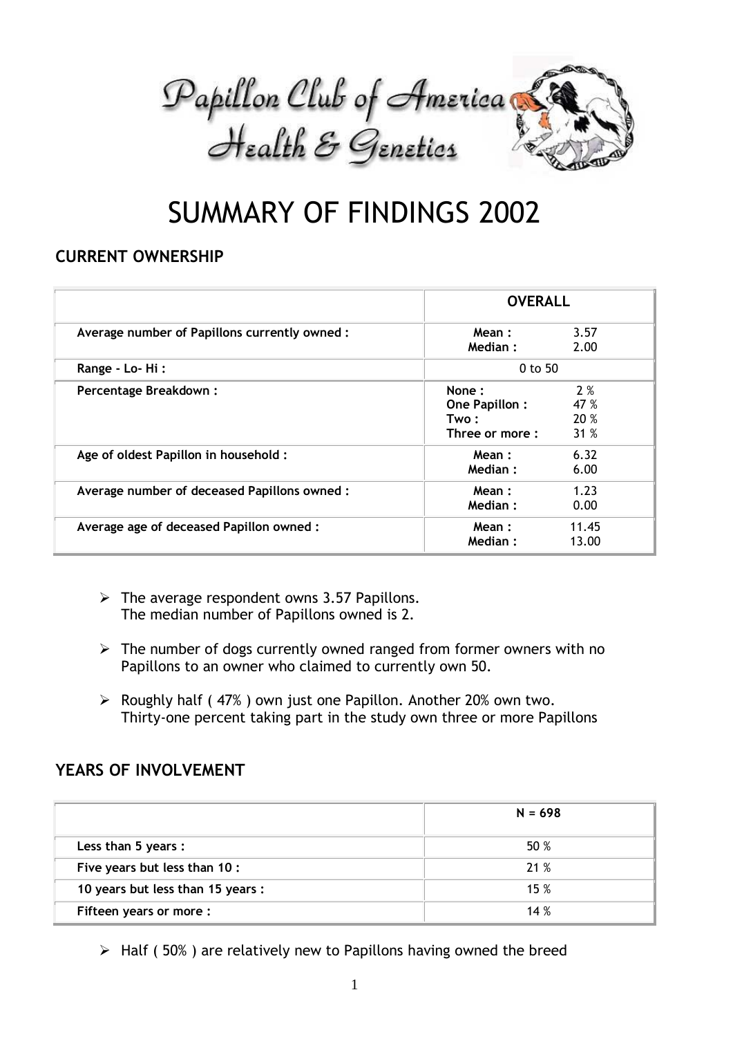

# SUMMARY OF FINDINGS 2002

### **CURRENT OWNERSHIP**

|                                              | <b>OVERALL</b>                                    |                           |
|----------------------------------------------|---------------------------------------------------|---------------------------|
| Average number of Papillons currently owned: | Mean:<br>Median:                                  | 3.57<br>2.00              |
| Range - Lo-Hi:                               | $0$ to 50                                         |                           |
| Percentage Breakdown:                        | None:<br>One Papillon:<br>Two :<br>Three or more: | 2%<br>47 %<br>20 %<br>31% |
| Age of oldest Papillon in household :        | Mean:<br>Median:                                  | 6.32<br>6.00              |
| Average number of deceased Papillons owned:  | Mean:<br>Median:                                  | 1.23<br>0.00              |
| Average age of deceased Papillon owned:      | Mean:<br>Median:                                  | 11.45<br>13.00            |

- $\triangleright$  The average respondent owns 3.57 Papillons. The median number of Papillons owned is 2.
- $\triangleright$  The number of dogs currently owned ranged from former owners with no Papillons to an owner who claimed to currently own 50.
- $\triangleright$  Roughly half (47%) own just one Papillon. Another 20% own two. Thirty-one percent taking part in the study own three or more Papillons

#### **YEARS OF INVOLVEMENT**

|                                   | $N = 698$ |
|-----------------------------------|-----------|
| Less than 5 years :               | 50 %      |
| Five years but less than 10 :     | 21 %      |
| 10 years but less than 15 years : | 15%       |
| Fifteen years or more:            | 14%       |

 $\triangleright$  Half (50%) are relatively new to Papillons having owned the breed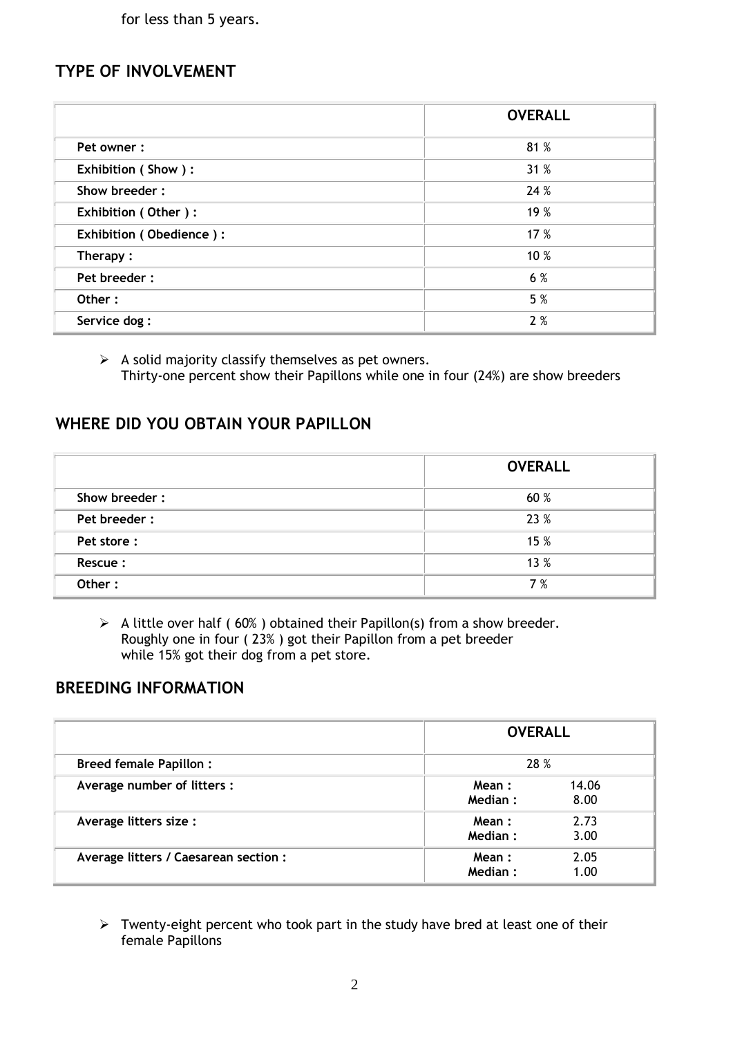for less than 5 years.

#### **TYPE OF INVOLVEMENT**

|                         | <b>OVERALL</b> |
|-------------------------|----------------|
| Pet owner:              | 81 %           |
| Exhibition (Show):      | 31 %           |
| Show breeder:           | 24 %           |
| Exhibition (Other):     | 19 %           |
| Exhibition (Obedience): | 17 %           |
| Therapy:                | 10 %           |
| Pet breeder:            | 6 %            |
| Other:                  | 5 %            |
| Service dog:            | 2%             |

 $\triangleright$  A solid majority classify themselves as pet owners. Thirty-one percent show their Papillons while one in four (24%) are show breeders

#### **WHERE DID YOU OBTAIN YOUR PAPILLON**

|               | <b>OVERALL</b> |
|---------------|----------------|
| Show breeder: | 60 %           |
| Pet breeder:  | 23 %           |
| Pet store:    | 15 %           |
| Rescue:       | 13 %           |
| Other:        | 7 %            |

 $\triangleright$  A little over half (60%) obtained their Papillon(s) from a show breeder. Roughly one in four ( 23% ) got their Papillon from a pet breeder while 15% got their dog from a pet store.

#### **BREEDING INFORMATION**

|                                       | <b>OVERALL</b>   |               |
|---------------------------------------|------------------|---------------|
| <b>Breed female Papillon:</b>         | 28 %             |               |
| Average number of litters :           | Mean:<br>Median: | 14.06<br>8.00 |
| Average litters size :                | Mean:<br>Median: | 2.73<br>3.00  |
| Average litters / Caesarean section : | Mean:<br>Median: | 2.05<br>1.00  |

 $\triangleright$  Twenty-eight percent who took part in the study have bred at least one of their female Papillons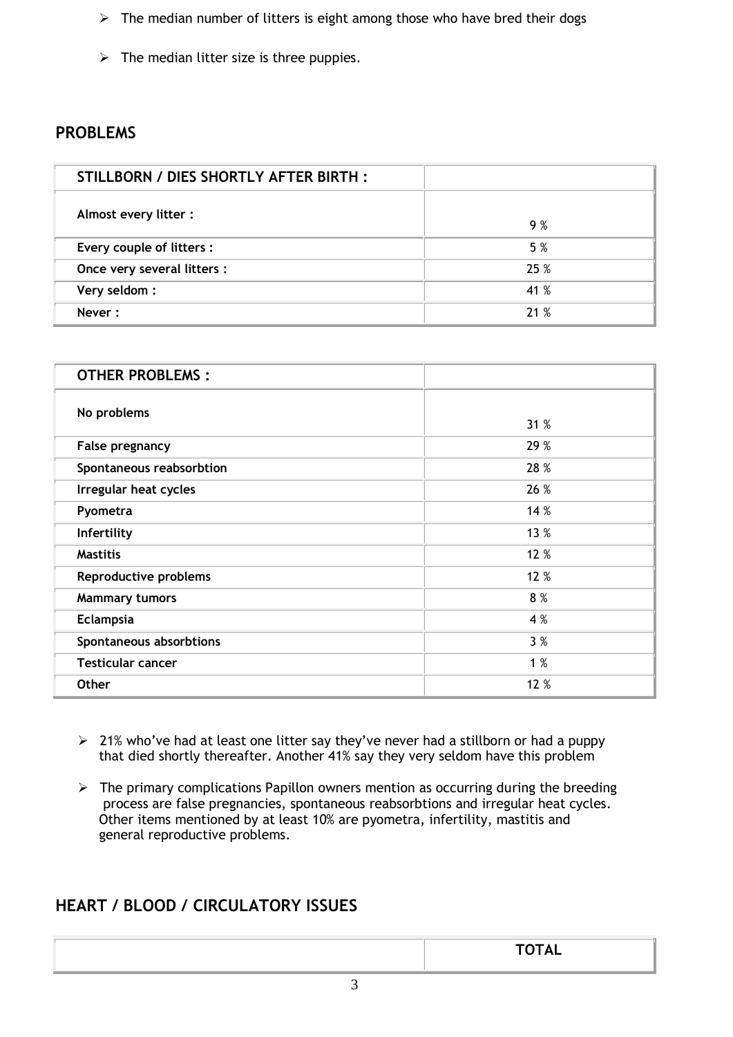- $\triangleright$  The median number of litters is eight among those who have bred their dogs
- $\triangleright$  The median litter size is three puppies.

#### **PROBLEMS**

| STILLBORN / DIES SHORTLY AFTER BIRTH : |      |
|----------------------------------------|------|
| Almost every litter:                   | 9 %  |
| Every couple of litters :              | 5 %  |
| Once very several litters :            | 25%  |
| Very seldom:                           | 41 % |
| Never:                                 | 21%  |

| <b>OTHER PROBLEMS:</b>       |      |
|------------------------------|------|
| No problems                  | 31 % |
| False pregnancy              | 29 % |
| Spontaneous reabsorbtion     | 28 % |
| Irregular heat cycles        | 26 % |
| Pyometra                     | 14 % |
| Infertility                  | 13 % |
| <b>Mastitis</b>              | 12 % |
| <b>Reproductive problems</b> | 12 % |
| <b>Mammary tumors</b>        | 8 %  |
| Eclampsia                    | 4 %  |
| Spontaneous absorbtions      | 3%   |
| <b>Testicular cancer</b>     | 1%   |
| <b>Other</b>                 | 12 % |

- $\geq 21\%$  who've had at least one litter say they've never had a stillborn or had a puppy that died shortly thereafter. Another 41% say they very seldom have this problem
- $\triangleright$  The primary complications Papillon owners mention as occurring during the breeding process are false pregnancies, spontaneous reabsorbtions and irregular heat cycles. Other items mentioned by at least 10% are pyometra, infertility, mastitis and general reproductive problems.

#### **HEART / BLOOD / CIRCULATORY ISSUES**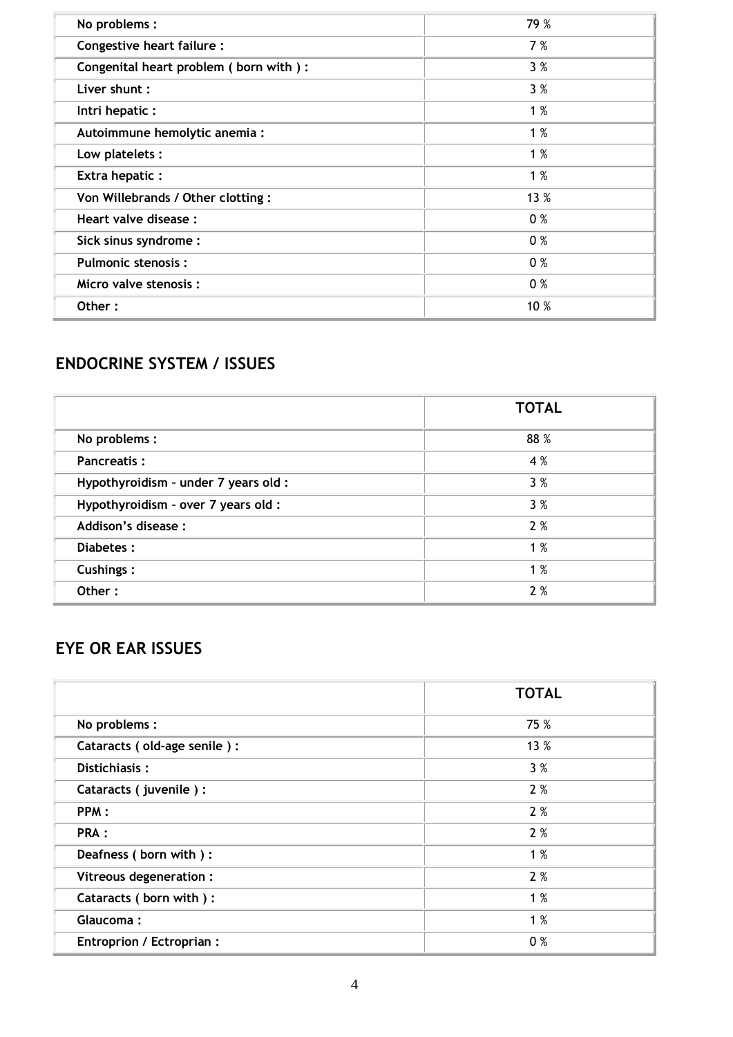| No problems :                          | 79 % |
|----------------------------------------|------|
| Congestive heart failure :             | 7 %  |
| Congenital heart problem (born with) : | 3%   |
| Liver shunt :                          | 3%   |
| Intri hepatic :                        | 1%   |
| Autoimmune hemolytic anemia :          | 1%   |
| Low platelets:                         | 1%   |
| <b>Extra hepatic:</b>                  | 1%   |
| Von Willebrands / Other clotting :     | 13 % |
| Heart valve disease :                  | 0%   |
| Sick sinus syndrome:                   | 0%   |
| <b>Pulmonic stenosis:</b>              | 0%   |
| Micro valve stenosis:                  | 0%   |
| Other:                                 | 10 % |

# **ENDOCRINE SYSTEM / ISSUES**

|                                      | <b>TOTAL</b> |
|--------------------------------------|--------------|
| No problems :                        | 88 %         |
| <b>Pancreatis:</b>                   | 4 %          |
| Hypothyroidism - under 7 years old : | 3%           |
| Hypothyroidism - over 7 years old :  | 3%           |
| Addison's disease :                  | 2%           |
| Diabetes:                            | 1%           |
| <b>Cushings:</b>                     | 1%           |
| Other:                               | 2%           |

# **EYE OR EAR ISSUES**

|                             | <b>TOTAL</b> |
|-----------------------------|--------------|
| No problems :               | 75 %         |
| Cataracts (old-age senile): | 13 %         |
| Distichiasis:               | 3%           |
| Cataracts (juvenile):       | 2%           |
| PPM:                        | 2%           |
| PRA :                       | 2%           |
| Deafness (born with):       | 1%           |
| Vitreous degeneration :     | 2%           |
| Cataracts (born with) :     | 1%           |
| Glaucoma:                   | 1%           |
| Entroprion / Ectroprian :   | 0%           |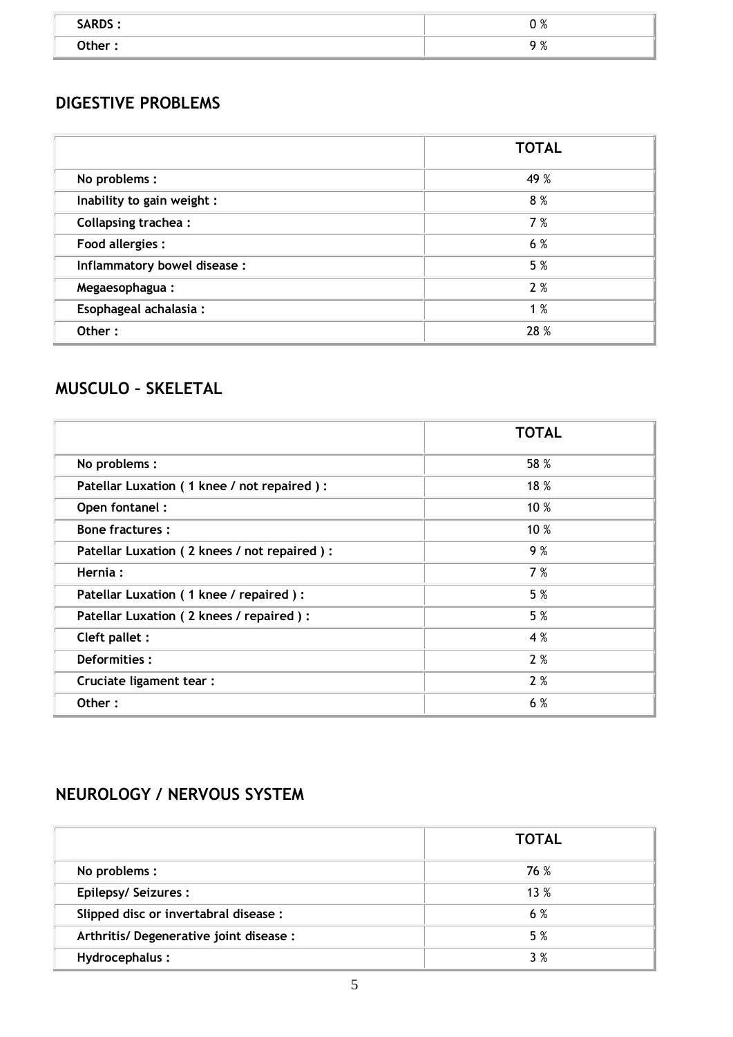| SARDS: | 0%                       |
|--------|--------------------------|
| Other: | $\Omega$ %<br>$\sqrt{0}$ |

#### **DIGESTIVE PROBLEMS**

|                              | <b>TOTAL</b> |
|------------------------------|--------------|
| No problems :                | 49 %         |
| Inability to gain weight :   | 8%           |
| <b>Collapsing trachea:</b>   | 7%           |
| <b>Food allergies:</b>       | 6 %          |
| Inflammatory bowel disease:  | 5 %          |
| Megaesophagua:               | 2%           |
| <b>Esophageal achalasia:</b> | 1%           |
| Other:                       | 28 %         |

# **MUSCULO – SKELETAL**

|                                             | <b>TOTAL</b> |
|---------------------------------------------|--------------|
| No problems :                               | 58 %         |
| Patellar Luxation (1 knee / not repaired):  | 18 %         |
| Open fontanel:                              | 10 %         |
| <b>Bone fractures:</b>                      | 10 %         |
| Patellar Luxation (2 knees / not repaired): | 9%           |
| Hernia:                                     | 7 %          |
| Patellar Luxation (1 knee / repaired) :     | 5 %          |
| Patellar Luxation (2 knees / repaired) :    | 5 %          |
| Cleft pallet :                              | 4 %          |
| Deformities:                                | 2%           |
| Cruciate ligament tear :                    | 2%           |
| Other:                                      | 6 %          |

# **NEUROLOGY / NERVOUS SYSTEM**

|                                         | <b>TOTAL</b> |
|-----------------------------------------|--------------|
| No problems :                           | 76 %         |
| <b>Epilepsy/Seizures:</b>               | 13%          |
| Slipped disc or invertabral disease :   | 6 %          |
| Arthritis/ Degenerative joint disease : | 5 %          |
| Hydrocephalus:                          | 3 %          |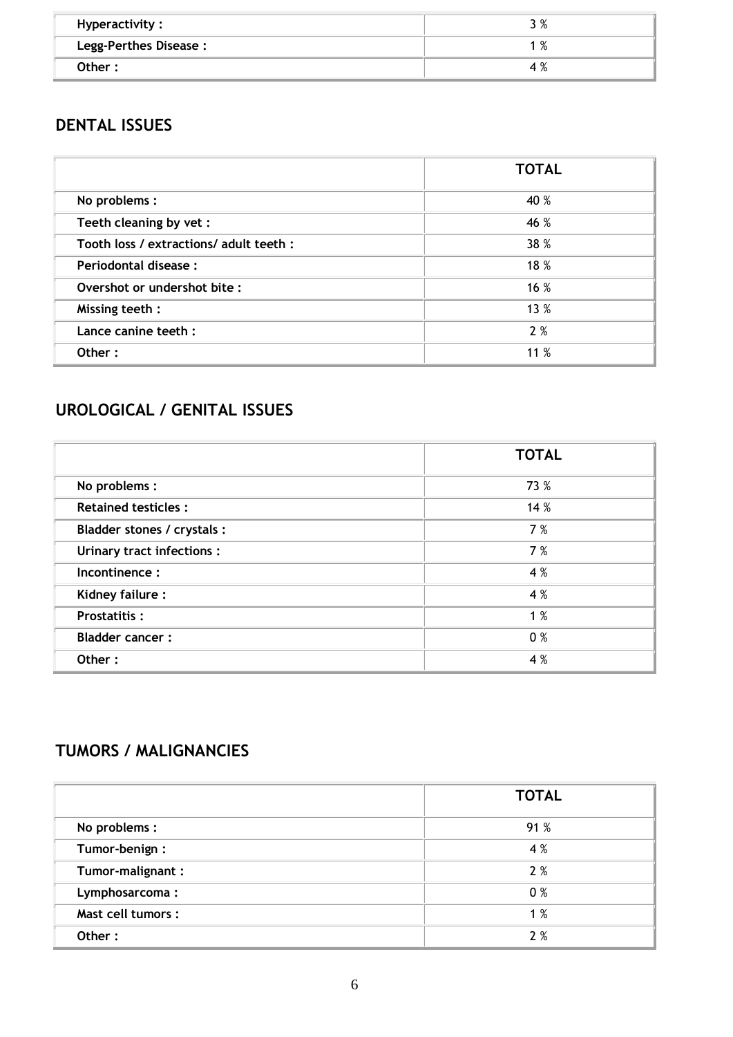| Hyperactivity:        | /ס כ<br>J /0 |
|-----------------------|--------------|
| Legg-Perthes Disease: | %            |
| Other:                | 4 %          |

## **DENTAL ISSUES**

|                                         | <b>TOTAL</b> |
|-----------------------------------------|--------------|
| No problems :                           | 40 %         |
| Teeth cleaning by vet :                 | 46 %         |
| Tooth loss / extractions/ adult teeth : | 38 %         |
| Periodontal disease:                    | 18 %         |
| Overshot or undershot bite :            | 16 %         |
| Missing teeth:                          | 13 %         |
| Lance canine teeth :                    | 2%           |
| Other:                                  | 11 %         |

# **UROLOGICAL / GENITAL ISSUES**

|                             | <b>TOTAL</b> |
|-----------------------------|--------------|
| No problems :               | 73 %         |
| <b>Retained testicles:</b>  | 14 %         |
| Bladder stones / crystals : | 7 %          |
| Urinary tract infections :  | 7 %          |
| Incontinence:               | 4 %          |
| Kidney failure:             | 4 %          |
| <b>Prostatitis:</b>         | 1%           |
| <b>Bladder cancer:</b>      | 0%           |
| Other:                      | 4 %          |

# **TUMORS / MALIGNANCIES**

|                    | <b>TOTAL</b> |
|--------------------|--------------|
| No problems :      | 91 %         |
| Tumor-benign:      | 4 %          |
| Tumor-malignant:   | 2%           |
| Lymphosarcoma:     | 0%           |
| Mast cell tumors : | 1%           |
| Other:             | 2%           |